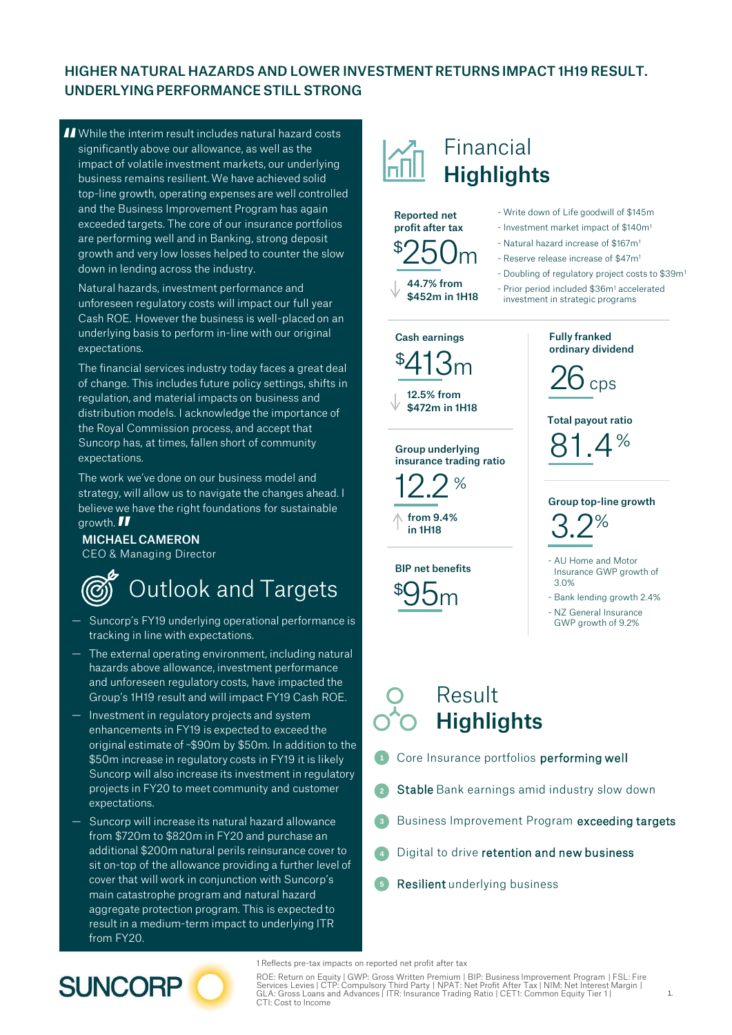### HIGHER NATURAL HAZARDS AND LOWER INVESTMENT RETURNS IMPACT 1H19 RESULT. UNDERLYING PERFORMANCE STILL STRONG

I While the interim result includes natural hazard costs<br>significantly above our allowance, as well as the<br>impact of volatile investment markets, our underlying significantly above our allowance, as well as the impact of volatile investment markets, our underlying business remains resilient. We have achieved solid top-line growth, operating expenses are well controlled and the Business Improvement Program has again exceeded targets. The core of our insurance portfolios are performing well and in Banking, strong deposit growth and very low losses helped to counter the slow down in lending across the industry.

Natural hazards, investment performance and unforeseen regulatory costs will impact our full year Cash ROE. However the business is well-placed on an underlying basis to perform in-line with our original expectations.

The financial services industry today faces a great deal of change. This includes future policy settings, shifts in regulation, and material impacts on business and distribution models. I acknowledge the importance of the Royal Commission process, and accept that Suncorp has, at times, fallen short of community expectations.

The work we've done on our business model and strategy, will allow us to navigate the changes ahead. I believe we have the right foundations for sustainable

### growth. **II**<br>**MICHAE** MICHAEL CAMERON

CEO & Managing Director

# Outlook and Targets

- Suncorp's FY19 underlying operational performance is tracking in line with expectations.
- The external operating environment, including natural hazards above allowance, investment performance and unforeseen regulatory costs, have impacted the Group's 1H19 result and will impact FY19 Cash ROE.
- Investment in regulatory projects and system enhancements in FY19 is expected to exceed the original estimate of ~\$90m by \$50m. In addition to the \$50m increase in regulatory costs in FY19 it is likely Suncorp will also increase its investment in regulatory projects in FY20 to meet community and customer expectations.
- Suncorp will increase its natural hazard allowance from \$720m to \$820m in FY20 and purchase an additional \$200m natural perils reinsurance cover to sit on-top of the allowance providing a further level of cover that will work in conjunction with Suncorp's main catastrophe program and natural hazard aggregate protection program. This is expected to result in a medium-term impact to underlying ITR from FY20.

## Financial **Highlights**

\$250<sup>m</sup> Reported net profit after tax





Group underlying insurance trading ratio

 $12.2$  %

 $\hbox{from} 9.4\%$ in 1H18

BIP net benefits \$95<sup>m</sup>

- Write down of Life goodwill of \$145m
- Investment market impact of \$140m<sup>1</sup>
- Natural hazard increase of \$167m<sup>1</sup>
- Reserve release increase of \$47m<sup>1</sup>
- Doubling of regulatory project costs to \$39m<sup>1</sup>

- Prior period included \$36m<sup>1</sup> accelerated investment in strategic programs



Total payout ratio

 $81.4%$ 





- AU Home and Motor Insurance GWP growth of 3.0%
- Bank lending growth 2.4%
- NZ General Insurance GWP growth of 9.2%

### Result **Highlights**

- Core Insurance portfolios performing well **1**
- Stable Bank earnings amid industry slow down **2**
- Business Improvement Program exceeding targets **3**
- Digital to drive retention and new business **4**
- Resilient underlying business **5**

1 Reflects pre-tax impacts on reported net profit after tax

**SUNCORP** 

ROE: Return on Equity | GWP: Gross Written Premium | BIP: Business Improvement Program | FSL: Fire<br>Services Levies | CTP: Compulsory Third Party | NPAT: Net Profit After Tax | NIM: Net Interest Margin |<br>GLA: Gross Loans an CTI: Cost to Income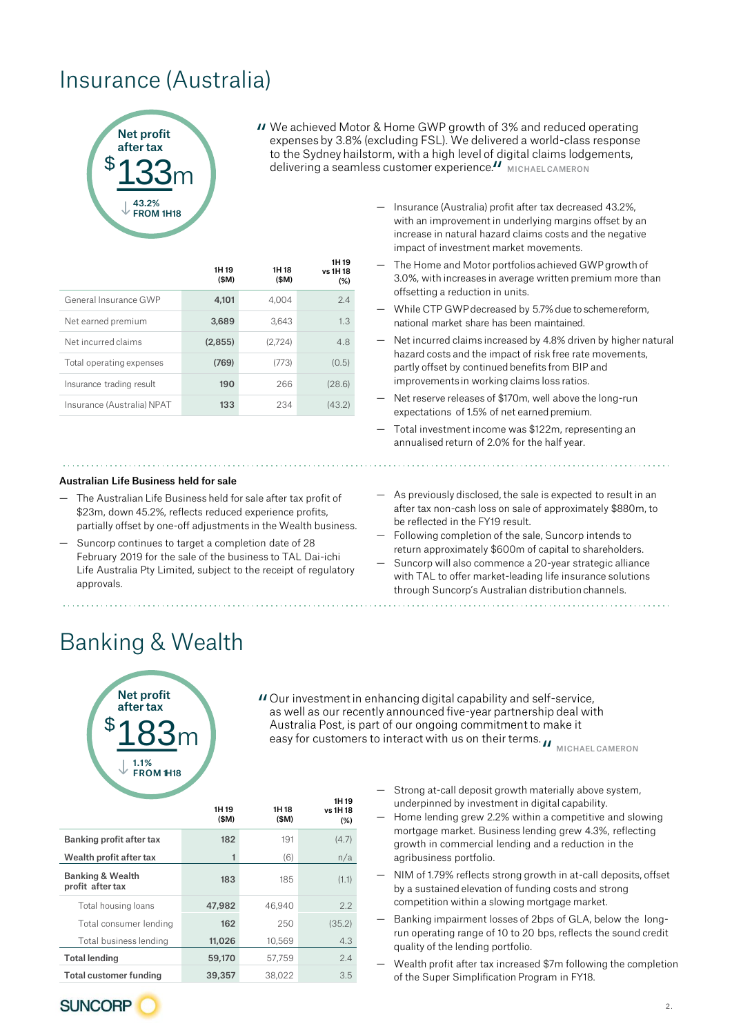## Insurance (Australia)



" We achieved Motor & Home GWP growth of 3% and reduced operating expenses by 3.8% (excluding FSL). We delivered a world-class response to the Sydney hailstorm, with a high level of digital claims lodgements, delivering a seamless customer experience.<sup>11</sup> міснаєї самеком<br>-

1H 19

|                            | 1H 19<br>(SM) | 1H 18<br>(SM) | ,,,,,<br>vs 1H 18<br>(%) |
|----------------------------|---------------|---------------|--------------------------|
| General Insurance GWP      | 4,101         | 4.004         | 2.4                      |
| Net earned premium         | 3,689         | 3.643         | 1.3                      |
| Net incurred claims        | (2,855)       | (2,724)       | 4.8                      |
| Total operating expenses   | (769)         | (773)         | (0.5)                    |
| Insurance trading result   | 190           | 266           | (28.6)                   |
| Insurance (Australia) NPAT | 133           | 234           | (43.2)                   |

#### Australian Life Business held for sale

- The Australian Life Business held for sale after tax profit of \$23m, down 45.2%, reflects reduced experience profits, partially offset by one-off adjustments in the Wealth business.
- Suncorp continues to target a completion date of 28 February 2019 for the sale of the business to TAL Dai-ichi Life Australia Pty Limited, subject to the receipt of regulatory approvals.
- Insurance (Australia) profit after tax decreased 43.2%, with an improvement in underlying margins offset by an increase in natural hazard claims costs and the negative impact of investment market movements.
- The Home and Motor portfolios achieved GWP growth of 3.0%, with increases in average written premium more than offsetting a reduction in units.
- While CTP GWP decreased by 5.7% due to schemereform, national market share has been maintained.
- Net incurred claims increased by 4.8% driven by higher natural hazard costs and the impact of risk free rate movements, partly offset by continued benefits from BIP and improvements in working claims loss ratios.
- Net reserve releases of \$170m, well above the long-run expectations of 1.5% of net earned premium.
- Total investment income was \$122m, representing an annualised return of 2.0% for the half year.
- As previously disclosed, the sale is expected to result in an after tax non-cash loss on sale of approximately \$880m, to be reflected in the FY19 result.
- Following completion of the sale, Suncorp intends to return approximately \$600m of capital to shareholders.
- Suncorp will also commence a 20-year strategic alliance with TAL to offer market-leading life insurance solutions through Suncorp's Australian distribution channels.

### Banking & Wealth



Our investment in enhancing digital capability and self-service, " as well as our recently announced five-year partnership deal with Australia Post, is part of our ongoing commitment to make it easy for customers to interact with us on their terms.  $\boldsymbol{\mu}$   $_{\texttt{MICHAEL CAMERON}}$ 

|                                                 | 1H 19<br>(SM) | 1H 18<br>(\$M) | 1H 19<br>vs 1H 18<br>(%) |
|-------------------------------------------------|---------------|----------------|--------------------------|
| Banking profit after tax                        | 182           | 191            | (4.7)                    |
| Wealth profit after tax                         |               | (6)            | n/a                      |
| <b>Banking &amp; Wealth</b><br>profit after tax | 183           | 185            | (1.1)                    |
| Total housing loans                             | 47.982        | 46.940         | 2.2                      |
| Total consumer lending                          | 162           | 250            | (35.2)                   |
| Total business lending                          | 11,026        | 10.569         | 4.3                      |
| <b>Total lending</b>                            | 59,170        | 57.759         | 2.4                      |
| Total customer funding                          | 39,357        | 38.022         | 3.5                      |

- Strong at-call deposit growth materially above system, underpinned by investment in digital capability.
- Home lending grew 2.2% within a competitive and slowing mortgage market. Business lending grew 4.3%, reflecting growth in commercial lending and a reduction in the agribusiness portfolio.
- NIM of 1.79% reflects strong growth in at-call deposits, offset by a sustained elevation of funding costs and strong competition within a slowing mortgage market.
- Banking impairment losses of 2bps of GLA, below the longrun operating range of 10 to 20 bps, reflects the sound credit quality of the lending portfolio.
- Wealth profit after tax increased \$7m following the completion of the Super Simplification Program in FY18.

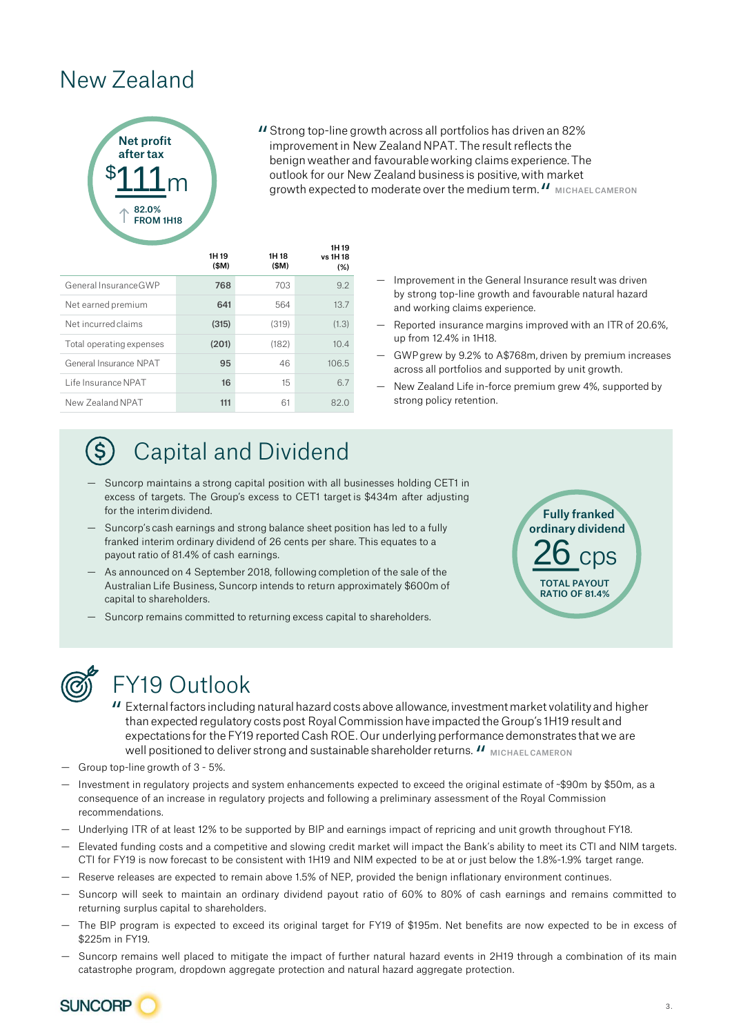### New Zealand



Strong top-line growth across all portfolios has driven an 82% " improvement in New Zealand NPAT. The result reflects the benign weather and favourable working claims experience. The outlook for our New Zealand business is positive, with market **growth expected to moderate over the medium term. II** MICHAEL CAMERON

|                          | 1H 19<br>(SM) | 1H 18<br>(SM) | 1H 19<br>vs 1H 18<br>(%) |
|--------------------------|---------------|---------------|--------------------------|
| General Insurance GWP    | 768           | 703           | 9.2                      |
| Net earned premium       | 641           | 564           | 13.7                     |
| Net incurred claims      | (315)         | (319)         | (1.3)                    |
| Total operating expenses | (201)         | (182)         | 10.4                     |
| General Insurance NPAT   | 95            | 46            | 106.5                    |
| Life Insurance NPAT      | 16            | 15            | 6.7                      |
| New Zealand NPAT         | 111           | 61            | 82.0                     |

- Improvement in the General Insurance result was driven by strong top-line growth and favourable natural hazard and working claims experience.
- Reported insurance margins improved with an ITR of 20.6%, up from 12.4% in 1H18.
- GWPgrew by 9.2% to A\$768m, driven by premium increases across all portfolios and supported by unit growth.
- New Zealand Life in-force premium grew 4%, supported by strong policy retention.

Fully franked

ordinary dividend

 $26$  cps

TOTAL PAYOUT RATIO OF 81.4%

# Capital and Dividend

- Suncorp maintains a strong capital position with all businesses holding CET1 in excess of targets. The Group's excess to CET1 target is \$434m after adjusting for the interim dividend.
- Suncorp's cash earnings and strong balance sheet position has led to a fully franked interim ordinary dividend of 26 cents per share. This equates to a payout ratio of 81.4% of cash earnings.
- As announced on 4 September 2018, following completion of the sale of the Australian Life Business, Suncorp intends to return approximately \$600m of capital to shareholders.
- Suncorp remains committed to returning excess capital to shareholders.



### FY19 Outlook

- External factors including natural hazard costs above allowance, investment market volatility and higher " than expected regulatory costs post Royal Commission have impacted the Group's 1H19 result and expectations for the FY19 reported Cash ROE. Our underlying performance demonstrates that we are Well positioned to deliver strong and sustainable shareholder returns.  $\boldsymbol{\mathit{II}}$  <sub>MICHAEL CAMERON</sub><br>-line growth of 3 - 5%.
- Group top-line growth of 3 5%.
- Investment in regulatory projects and system enhancements expected to exceed the original estimate of ~\$90m by \$50m, as a consequence of an increase in regulatory projects and following a preliminary assessment of the Royal Commission recommendations.
- Underlying ITR of at least 12% to be supported by BIP and earnings impact of repricing and unit growth throughout FY18.
- Elevated funding costs and a competitive and slowing credit market will impact the Bank's ability to meet its CTI and NIM targets. CTI for FY19 is now forecast to be consistent with 1H19 and NIM expected to be at or just below the 1.8%-1.9% target range.
- Reserve releases are expected to remain above 1.5% of NEP, provided the benign inflationary environment continues.
- Suncorp will seek to maintain an ordinary dividend payout ratio of 60% to 80% of cash earnings and remains committed to returning surplus capital to shareholders.
- The BIP program is expected to exceed its original target for FY19 of \$195m. Net benefits are now expected to be in excess of \$225m in FY19.
- Suncorp remains well placed to mitigate the impact of further natural hazard events in 2H19 through a combination of its main catastrophe program, dropdown aggregate protection and natural hazard aggregate protection.